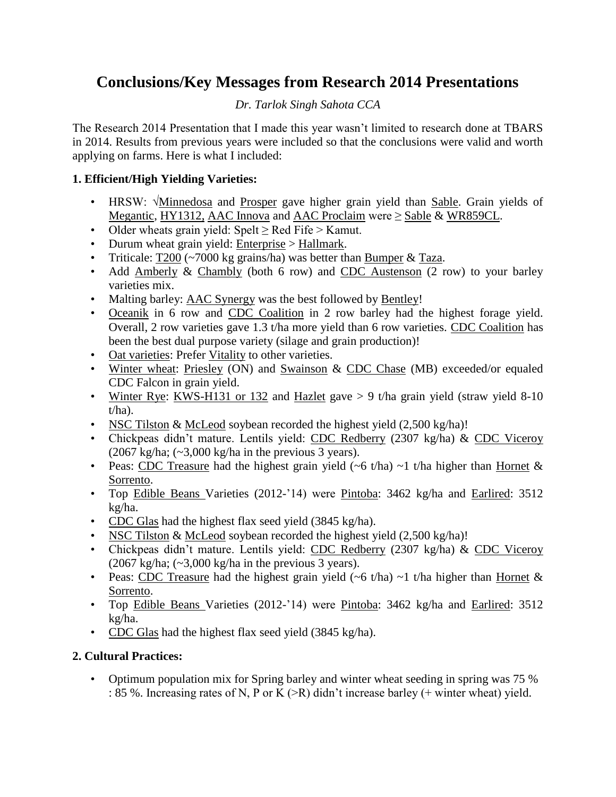# **Conclusions/Key Messages from Research 2014 Presentations**

### *Dr. Tarlok Singh Sahota CCA*

The Research 2014 Presentation that I made this year wasn't limited to research done at TBARS in 2014. Results from previous years were included so that the conclusions were valid and worth applying on farms. Here is what I included:

#### **1. Efficient/High Yielding Varieties:**

- HRSW:  $\sqrt{\text{Minnedosa}}$  and Prosper gave higher grain yield than Sable. Grain yields of Megantic, HY1312, AAC Innova and AAC Proclaim were  $\geq$  Sable & WR859CL.
- Older wheats grain yield: Spelt  $\geq$  Red Fife  $>$  Kamut.
- Durum wheat grain yield: Enterprise > Hallmark.
- Triticale: T200 ( $\sim$ 7000 kg grains/ha) was better than Bumper & Taza.
- Add Amberly & Chambly (both 6 row) and CDC Austenson (2 row) to your barley varieties mix.
- Malting barley: AAC Synergy was the best followed by Bentley!
- Oceanik in 6 row and CDC Coalition in 2 row barley had the highest forage yield. Overall, 2 row varieties gave 1.3 t/ha more yield than 6 row varieties. CDC Coalition has been the best dual purpose variety (silage and grain production)!
- Oat varieties: Prefer Vitality to other varieties.
- Winter wheat: Priesley (ON) and Swainson & CDC Chase (MB) exceeded/or equaled CDC Falcon in grain yield.
- Winter Rye: KWS-H131 or 132 and Hazlet gave > 9 t/ha grain yield (straw yield 8-10) t/ha).
- NSC Tilston & McLeod soybean recorded the highest yield  $(2,500 \text{ kg/ha})!$
- Chickpeas didn't mature. Lentils yield: CDC Redberry (2307 kg/ha) & CDC Viceroy  $(2067 \text{ kg/ha}; \, (-3,000 \text{ kg/ha} \text{ in the previous 3 years}).$
- Peas: CDC Treasure had the highest grain yield  $(-6 t/ha)$  ~1 t/ha higher than Hornet & Sorrento.
- Top Edible Beans Varieties (2012-'14) were Pintoba: 3462 kg/ha and Earlired: 3512 kg/ha.
- CDC Glas had the highest flax seed yield (3845 kg/ha).
- NSC Tilston & McLeod soybean recorded the highest yield  $(2,500 \text{ kg/ha})!$
- Chickpeas didn't mature. Lentils yield: CDC Redberry (2307 kg/ha) & CDC Viceroy  $(2067 \text{ kg/ha}; \, (-3,000 \text{ kg/ha} \text{ in the previous 3 years}).$
- Peas: CDC Treasure had the highest grain yield  $(-6 t/ha)$  ~1 t/ha higher than Hornet & Sorrento.
- Top Edible Beans Varieties (2012-'14) were Pintoba: 3462 kg/ha and Earlired: 3512 kg/ha.
- CDC Glas had the highest flax seed yield (3845 kg/ha).

#### **2. Cultural Practices:**

• Optimum population mix for Spring barley and winter wheat seeding in spring was 75 % : 85 %. Increasing rates of N, P or K (>R) didn't increase barley (+ winter wheat) yield.